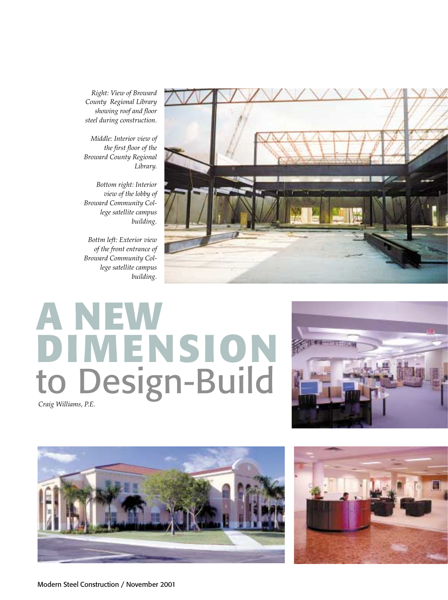*Right: View of Broward County Regional Library showing roof and floor steel during construction.*

*Middle: Interior view of the first floor of the Broward County Regional Library.*

*Bottom right: Interior view of the lobby of Broward Community College satellite campus building.*

*Bottm left: Exterior view of the front entrance of Broward Community College satellite campus building.*



# **A NEW DIMENSION** to Design-Build *Craig Williams, P.E.*





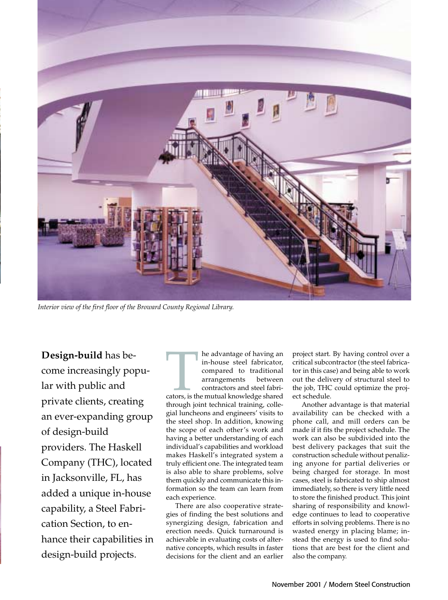

*Interior view of the first floor of the Broward County Regional Library.*

**Design-build** has become increasingly popular with public and private clients, creating an ever-expanding group of design-build providers. The Haskell Company (THC), located in Jacksonville, FL, has added a unique in-house capability, a Steel Fabrication Section, to enhance their capabilities in design-build projects.

The advantage of having an in-house steel fabricator,<br>
compared to traditional<br>
arrangements between<br>
contractors and steel fabri-<br>
cators, is the mutual knowledge shared<br>
through both technical training college in-house steel fabricator, compared to traditional arrangements between contractors and steel fabri-

through joint technical training, collegial luncheons and engineers' visits to the steel shop. In addition, knowing the scope of each other's work and having a better understanding of each individual's capabilities and workload makes Haskell's integrated system a truly efficient one. The integrated team is also able to share problems, solve them quickly and communicate this information so the team can learn from each experience.

There are also cooperative strategies of finding the best solutions and synergizing design, fabrication and erection needs. Quick turnaround is achievable in evaluating costs of alternative concepts, which results in faster decisions for the client and an earlier

project start. By having control over a critical subcontractor (the steel fabricator in this case) and being able to work out the delivery of structural steel to the job, THC could optimize the project schedule.

Another advantage is that material availability can be checked with a phone call, and mill orders can be made if it fits the project schedule. The work can also be subdivided into the best delivery packages that suit the construction schedule without penalizing anyone for partial deliveries or being charged for storage. In most cases, steel is fabricated to ship almost immediately, so there is very little need to store the finished product. This joint sharing of responsibility and knowledge continues to lead to cooperative efforts in solving problems. There is no wasted energy in placing blame; instead the energy is used to find solutions that are best for the client and also the company.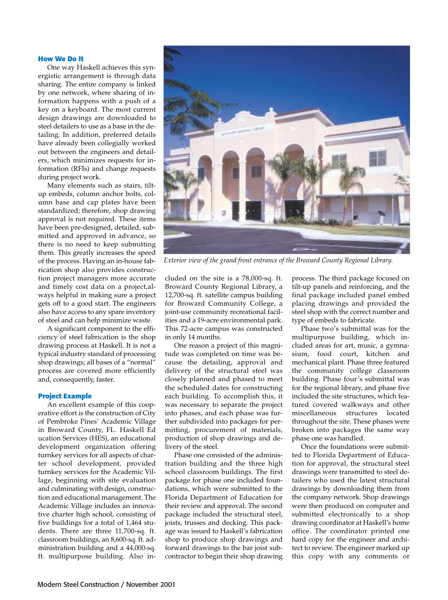# **How We Do It**

One way Haskell achieves this synergistic arrangement is through data sharing. The entire company is linked by one network, where sharing of information happens with a push of a key on a keyboard. The most current design drawings are downloaded to steel detailers to use as a base in the detailing. In addition, preferred details have already been collegially worked out between the engineers and detailers, which minimizes requests for information (RFIs) and change requests during project work.

Many elements such as stairs, tiltup embeds, column anchor bolts, column base and cap plates have been standardized; therefore, shop drawing approval is not required. These items have been pre-designed, detailed, submitted and approved in advance, so there is no need to keep submitting them. This greatly increases the speed of the process. Having an in-house fabrication shop also provides construction project managers more accurate and timely cost data on a project,always helpful in making sure a project gets off to a good start. The engineers also have access to any spare inventory of steel and can help minimize waste.

A significant component to the efficiency of steel fabrication is the shop drawing process at Haskell. It is not a typical industry standard of processing shop drawings; all bases of a "normal" process are covered more efficiently and, consequently, faster.

### **Project Example**

An excellent example of this cooperative effort is the construction of City of Pembroke Pines' Academic Village in Broward County, FL. Haskell Ed ucation Services (HES), an educational development organization offering turnkey services for all aspects of charter school development, provided turnkey services for the Academic Village, beginning with site evaluation and culminating with design, construction and educational management. The Academic Village includes an innovative charter high school, consisting of five buildings for a total of 1,464 students. There are three 11,700-sq. ft. classroom buildings, an 8,600-sq. ft. administration building and a 44,000-sq. ft. multipurpose building. Also in-



*Exterior view of the grand front entrance of the Broward County Regional Library.*

cluded on the site is a 78,000-sq. ft. Broward County Regional Library, a 12,700-sq. ft. satellite campus building for Broward Community College, a joint-use community recreational facilities and a 19-acre environmental park. This 72-acre campus was constructed in only 14 months.

One reason a project of this magnitude was completed on time was because the detailing, approval and delivery of the structural steel was closely planned and phased to meet the scheduled dates for constructing each building. To accomplish this, it was necessary to separate the project into phases, and each phase was further subdivided into packages for permitting, procurement of materials, production of shop drawings and delivery of the steel.

Phase one consisted of the administration building and the three high school classroom buildings. The first package for phase one included foundations, which were submitted to the Florida Department of Education for their review and approval. The second package included the structural steel, joists, trusses and decking. This package was issued to Haskell's fabrication shop to produce shop drawings and forward drawings to the bar joist subcontractor to begin their shop drawing

process. The third package focused on tilt-up panels and reinforcing, and the final package included panel embed placing drawings and provided the steel shop with the correct number and type of embeds to fabricate.

Phase two's submittal was for the multipurpose building, which included areas for art, music, a gymnasium, food court, kitchen and mechanical plant. Phase three featured the community college classroom building. Phase four's submittal was for the regional library, and phase five included the site structures, which featured covered walkways and other miscellaneous structures located throughout the site. These phases were broken into packages the same way phase one was handled.

Once the foundations were submitted to Florida Department of Education for approval, the structural steel drawings were transmitted to steel detailers who used the latest structural drawings by downloading them from the company network. Shop drawings were then produced on computer and submitted electronically to a shop drawing coordinator at Haskell's home office. The coordinator printed one hard copy for the engineer and architect to review. The engineer marked up this copy with any comments or